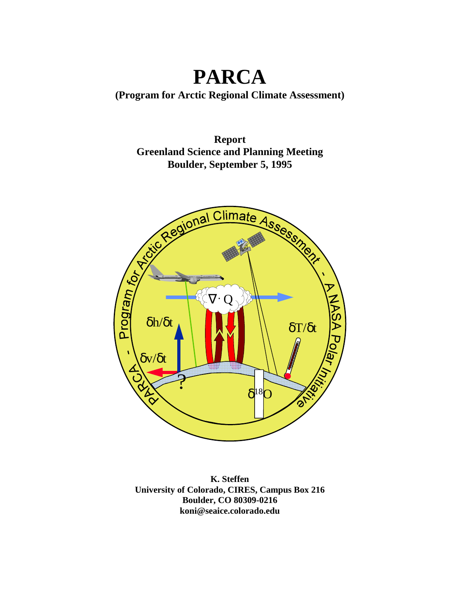# **PARCA**

**(Program for Arctic Regional Climate Assessment)** 

**Report Greenland Science and Planning Meeting Boulder, September 5, 1995** 



**K. Steffen University of Colorado, CIRES, Campus Box 216 Boulder, CO 80309-0216 koni@seaice.colorado.edu**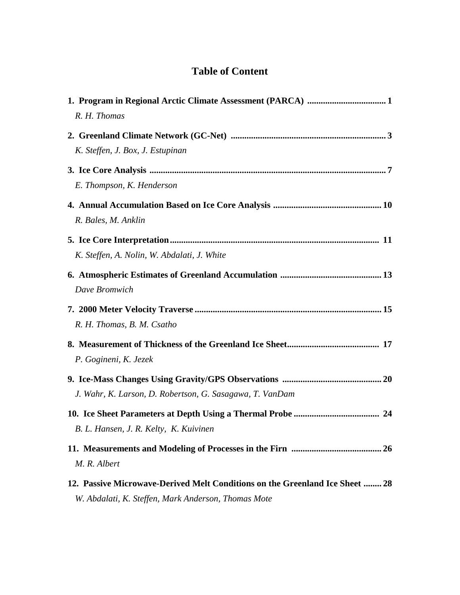## **Table of Content**

| R. H. Thomas                                                                                                                        |
|-------------------------------------------------------------------------------------------------------------------------------------|
| K. Steffen, J. Box, J. Estupinan                                                                                                    |
| E. Thompson, K. Henderson                                                                                                           |
| R. Bales, M. Anklin                                                                                                                 |
| K. Steffen, A. Nolin, W. Abdalati, J. White                                                                                         |
| Dave Bromwich                                                                                                                       |
| R. H. Thomas, B. M. Csatho                                                                                                          |
| P. Gogineni, K. Jezek                                                                                                               |
| J. Wahr, K. Larson, D. Robertson, G. Sasagawa, T. VanDam                                                                            |
| B. L. Hansen, J. R. Kelty, K. Kuivinen                                                                                              |
| M. R. Albert                                                                                                                        |
| 12. Passive Microwave-Derived Melt Conditions on the Greenland Ice Sheet  28<br>W. Abdalati, K. Steffen, Mark Anderson, Thomas Mote |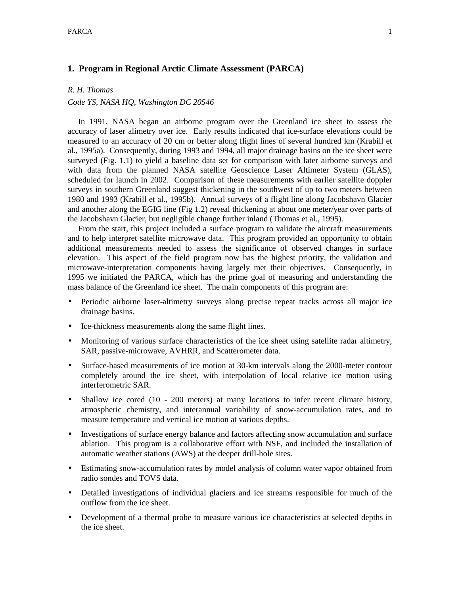## **1. Program in Regional Arctic Climate Assessment (PARCA)**

## *R. H. Thomas*

## *Code YS, NASA HQ, Washington DC 20546*

 In 1991, NASA began an airborne program over the Greenland ice sheet to assess the accuracy of laser alimetry over ice. Early results indicated that ice-surface elevations could be measured to an accuracy of 20 cm or better along flight lines of several hundred km (Krabill et al., 1995a). Consequently, during 1993 and 1994, all major drainage basins on the ice sheet were surveyed (Fig. 1.1) to yield a baseline data set for comparison with later airborne surveys and with data from the planned NASA satellite Geoscience Laser Altimeter System (GLAS), scheduled for launch in 2002. Comparison of these measurements with earlier satellite doppler surveys in southern Greenland suggest thickening in the southwest of up to two meters between 1980 and 1993 (Krabill et al., 1995b). Annual surveys of a flight line along Jacobshavn Glacier and another along the EGIG line (Fig 1.2) reveal thickening at about one meter/year over parts of the Jacobshavn Glacier, but negligible change further inland (Thomas et al., 1995).

 From the start, this project included a surface program to validate the aircraft measurements and to help interpret satellite microwave data. This program provided an opportunity to obtain additional measurements needed to assess the significance of observed changes in surface elevation. This aspect of the field program now has the highest priority, the validation and microwave-interpretation components having largely met their objectives. Consequently, in 1995 we initiated the PARCA, which has the prime goal of measuring and understanding the mass balance of the Greenland ice sheet. The main components of this program are:

- Periodic airborne laser-altimetry surveys along precise repeat tracks across all major ice drainage basins.
- Ice-thickness measurements along the same flight lines.
- Monitoring of various surface characteristics of the ice sheet using satellite radar altimetry, SAR, passive-microwave, AVHRR, and Scatterometer data.
- Surface-based measurements of ice motion at 30-km intervals along the 2000-meter contour completely around the ice sheet, with interpolation of local relative ice motion using interferometric SAR.
- Shallow ice cored (10 200 meters) at many locations to infer recent climate history, atmospheric chemistry, and interannual variability of snow-accumulation rates, and to measure temperature and vertical ice motion at various depths.
- Investigations of surface energy balance and factors affecting snow accumulation and surface ablation. This program is a collaborative effort with NSF, and included the installation of automatic weather stations (AWS) at the deeper drill-hole sites.
- Estimating snow-accumulation rates by model analysis of column water vapor obtained from radio sondes and TOVS data.
- Detailed investigations of individual glaciers and ice streams responsible for much of the outflow from the ice sheet.
- Development of a thermal probe to measure various ice characteristics at selected depths in the ice sheet.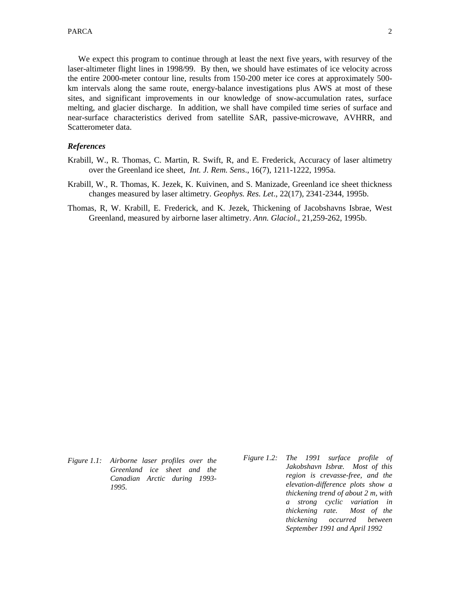We expect this program to continue through at least the next five years, with resurvey of the laser-altimeter flight lines in 1998/99. By then, we should have estimates of ice velocity across the entire 2000-meter contour line, results from 150-200 meter ice cores at approximately 500 km intervals along the same route, energy-balance investigations plus AWS at most of these sites, and significant improvements in our knowledge of snow-accumulation rates, surface melting, and glacier discharge. In addition, we shall have compiled time series of surface and near-surface characteristics derived from satellite SAR, passive-microwave, AVHRR, and Scatterometer data.

#### *References*

- Krabill, W., R. Thomas, C. Martin, R. Swift, R, and E. Frederick, Accuracy of laser altimetry over the Greenland ice sheet, *Int. J. Rem. Sens*., 16(7), 1211-1222, 1995a.
- Krabill, W., R. Thomas, K. Jezek, K. Kuivinen, and S. Manizade, Greenland ice sheet thickness changes measured by laser altimetry. *Geophys. Res. Let*., 22(17), 2341-2344, 1995b.
- Thomas, R, W. Krabill, E. Frederick, and K. Jezek, Thickening of Jacobshavns Isbrae, West Greenland, measured by airborne laser altimetry. *Ann. Glaciol*., 21,259-262, 1995b.

- *Figure 1.1: Airborne laser profiles over the Greenland ice sheet and the Canadian Arctic during 1993- 1995.*
- *Figure 1.2: The 1991 surface profile of Jakobshavn Isbræ. Most of this region is crevasse-free, and the elevation-difference plots show a thickening trend of about 2 m, with a strong cyclic variation in thickening rate. Most of the thickening occurred between September 1991 and April 1992*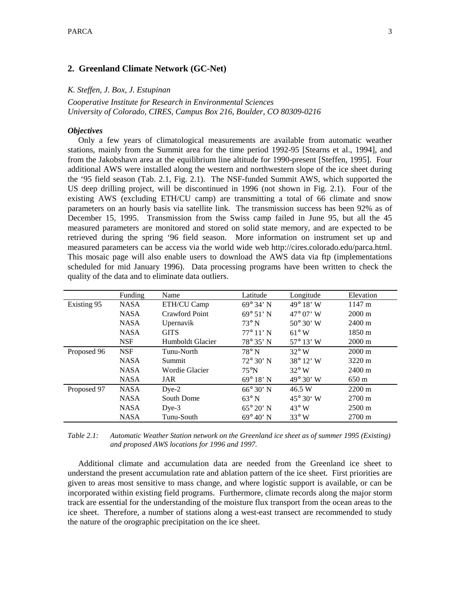## **2. Greenland Climate Network (GC-Net)**

#### *K. Steffen, J. Box, J. Estupinan*

*Cooperative Institute for Research in Environmental Sciences University of Colorado, CIRES, Campus Box 216, Boulder, CO 80309-0216* 

#### *Objectives*

 Only a few years of climatological measurements are available from automatic weather stations, mainly from the Summit area for the time period 1992-95 [Stearns et al., 1994], and from the Jakobshavn area at the equilibrium line altitude for 1990-present [Steffen, 1995]. Four additional AWS were installed along the western and northwestern slope of the ice sheet during the '95 field season (Tab. 2.1, Fig. 2.1). The NSF-funded Summit AWS, which supported the US deep drilling project, will be discontinued in 1996 (not shown in Fig. 2.1). Four of the existing AWS (excluding ETH/CU camp) are transmitting a total of 66 climate and snow parameters on an hourly basis via satellite link. The transmission success has been 92% as of December 15, 1995. Transmission from the Swiss camp failed in June 95, but all the 45 measured parameters are monitored and stored on solid state memory, and are expected to be retrieved during the spring '96 field season. More information on instrument set up and measured parameters can be access via the world wide web http://cires.colorado.edu/parca.html. This mosaic page will also enable users to download the AWS data via ftp (implementations scheduled for mid January 1996). Data processing programs have been written to check the quality of the data and to eliminate data outliers.

|             | Funding     | Name             | Latitude           | Longitude                 | Elevation        |
|-------------|-------------|------------------|--------------------|---------------------------|------------------|
| Existing 95 | <b>NASA</b> | ETH/CU Camp      | $69^{\circ}$ 34' N | 49 $^{\circ}$ 18' W       | 1147 m           |
|             | <b>NASA</b> | Crawford Point   | $69^{\circ} 51' N$ | $47^{\circ}$ 07' W        | $2000 \text{ m}$ |
|             | <b>NASA</b> | Upernavik        | $73^\circ$ N       | $50^{\circ} 30' W$        | $2400 \text{ m}$ |
|             | <b>NASA</b> | <b>GITS</b>      | $77^{\circ} 11' N$ | $61^\circ$ W              | 1850 m           |
|             | <b>NSF</b>  | Humboldt Glacier | $78^{\circ} 35' N$ | $57^{\circ} 13' W$        | $2000 \text{ m}$ |
| Proposed 96 | <b>NSF</b>  | Tunu-North       | $78^\circ$ N       | $32^{\circ}$ W            | $2000 \text{ m}$ |
|             | <b>NASA</b> | Summit           | $72^{\circ} 30' N$ | $38^{\circ} 12' W$        | $3220 \text{ m}$ |
|             | <b>NASA</b> | Wordie Glacier   | $75^{\circ}$ N     | $32^{\circ}$ W            | $2400 \text{ m}$ |
|             | <b>NASA</b> | JAR              | $69^{\circ} 18' N$ | $49^{\circ} 30' W$        | $650 \text{ m}$  |
| Proposed 97 | <b>NASA</b> | $Dye-2$          | $66^{\circ} 30' N$ | 46.5 W                    | $2200 \text{ m}$ |
|             | <b>NASA</b> | South Dome       | $63^\circ$ N       | $45^{\circ} 30^{\circ}$ W | $2700 \text{ m}$ |
|             | <b>NASA</b> | $Dve-3$          | $65^{\circ} 20'$ N | $43^{\circ}$ W            | $2500 \text{ m}$ |
|             | <b>NASA</b> | Tunu-South       | $69^{\circ} 40' N$ | $33^\circ$ W              | $2700 \text{ m}$ |

*Table 2.1: Automatic Weather Station network on the Greenland ice sheet as of summer 1995 (Existing) and proposed AWS locations for 1996 and 1997.* 

 Additional climate and accumulation data are needed from the Greenland ice sheet to understand the present accumulation rate and ablation pattern of the ice sheet. First priorities are given to areas most sensitive to mass change, and where logistic support is available, or can be incorporated within existing field programs. Furthermore, climate records along the major storm track are essential for the understanding of the moisture flux transport from the ocean areas to the ice sheet. Therefore, a number of stations along a west-east transect are recommended to study the nature of the orographic precipitation on the ice sheet.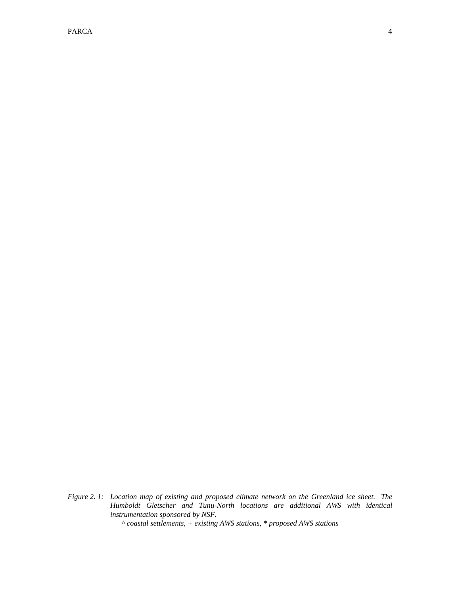PARCA  $\overline{a}$  and  $\overline{a}$  and  $\overline{a}$  and  $\overline{a}$  and  $\overline{a}$  and  $\overline{a}$  and  $\overline{a}$  and  $\overline{a}$  and  $\overline{a}$  and  $\overline{a}$  and  $\overline{a}$  and  $\overline{a}$  and  $\overline{a}$  and  $\overline{a}$  and  $\overline{a}$  and  $\overline{a}$  and  $\overline{a}$ 

*Figure 2. 1: Location map of existing and proposed climate network on the Greenland ice sheet. The Humboldt Gletscher and Tunu-North locations are additional AWS with identical instrumentation sponsored by NSF.* 

 *^ coastal settlements, + existing AWS stations, \* proposed AWS stations*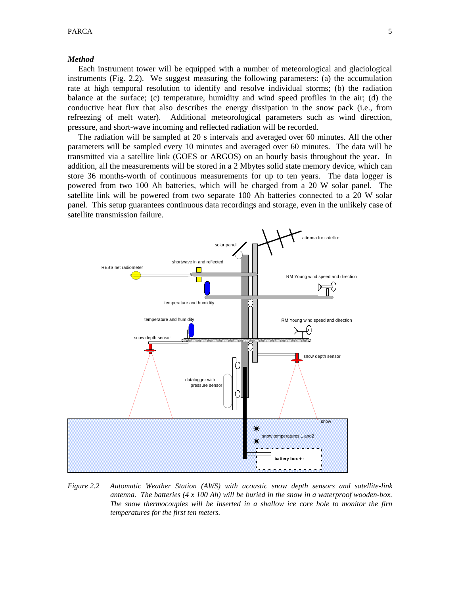#### *Method*

 Each instrument tower will be equipped with a number of meteorological and glaciological instruments (Fig. 2.2). We suggest measuring the following parameters: (a) the accumulation rate at high temporal resolution to identify and resolve individual storms; (b) the radiation balance at the surface; (c) temperature, humidity and wind speed profiles in the air; (d) the conductive heat flux that also describes the energy dissipation in the snow pack (i.e., from refreezing of melt water). Additional meteorological parameters such as wind direction, pressure, and short-wave incoming and reflected radiation will be recorded.

 The radiation will be sampled at 20 s intervals and averaged over 60 minutes. All the other parameters will be sampled every 10 minutes and averaged over 60 minutes. The data will be transmitted via a satellite link (GOES or ARGOS) on an hourly basis throughout the year. In addition, all the measurements will be stored in a 2 Mbytes solid state memory device, which can store 36 months-worth of continuous measurements for up to ten years. The data logger is powered from two 100 Ah batteries, which will be charged from a 20 W solar panel. The satellite link will be powered from two separate 100 Ah batteries connected to a 20 W solar panel. This setup guarantees continuous data recordings and storage, even in the unlikely case of satellite transmission failure.



*Figure 2.2 Automatic Weather Station (AWS) with acoustic snow depth sensors and satellite-link antenna. The batteries (4 x 100 Ah) will be buried in the snow in a waterproof wooden-box. The snow thermocouples will be inserted in a shallow ice core hole to monitor the firn temperatures for the first ten meters.*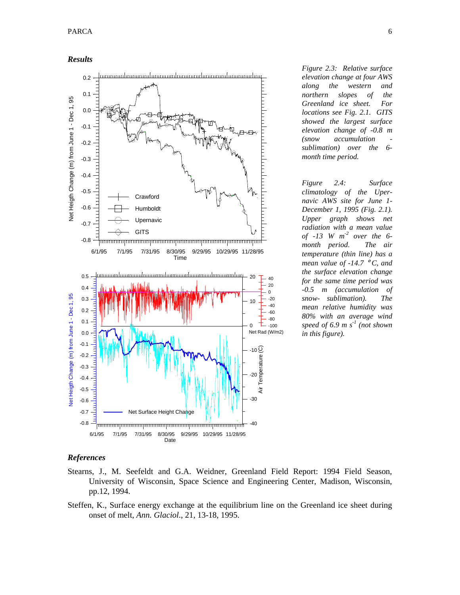*Results* 



*Figure 2.3: Relative surface elevation change at four AWS along the western and northern slopes of the Greenland ice sheet. For locations see Fig. 2.1. GITS showed the largest surface elevation change of -0.8 m (snow accumulation sublimation) over the 6 month time period.* 

*Figure 2.4: Surface climatology of the Upernavic AWS site for June 1- December 1, 1995 (Fig. 2.1). Upper graph shows net radiation with a mean value of -13 W m-2 over the 6 month period. The air temperature (thin line) has a mean value of -14.7* ° *C, and the surface elevation change for the same time period was -0.5 m (accumulation of snow- sublimation). The mean relative humidity was 80% with an average wind speed of 6.9 m s-1 (not shown in this figure).* 

## *References*

- Stearns, J., M. Seefeldt and G.A. Weidner, Greenland Field Report: 1994 Field Season, University of Wisconsin, Space Science and Engineering Center, Madison, Wisconsin, pp.12, 1994.
- Steffen, K., Surface energy exchange at the equilibrium line on the Greenland ice sheet during onset of melt, *Ann. Glaciol*., 21, 13-18, 1995.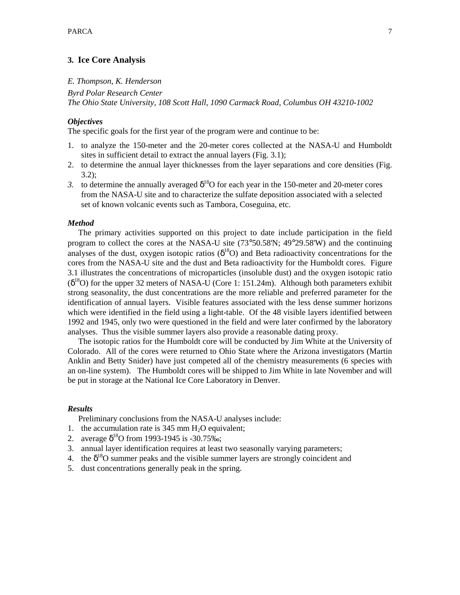## **3. Ice Core Analysis**

#### *E. Thompson, K. Henderson*

*Byrd Polar Research Center The Ohio State University, 108 Scott Hall, 1090 Carmack Road, Columbus OH 43210-1002* 

## *Objectives*

The specific goals for the first year of the program were and continue to be:

- 1. to analyze the 150-meter and the 20-meter cores collected at the NASA-U and Humboldt sites in sufficient detail to extract the annual layers (Fig. 3.1);
- 2. to determine the annual layer thicknesses from the layer separations and core densities (Fig.  $3.2$ :
- *3.* to determine the annually averaged  $\delta^{18}$ O for each year in the 150-meter and 20-meter cores from the NASA-U site and to characterize the sulfate deposition associated with a selected set of known volcanic events such as Tambora, Coseguina, etc.

## *Method*

 The primary activities supported on this project to date include participation in the field program to collect the cores at the NASA-U site (73°50.58'N; 49°29.58'W) and the continuing analyses of the dust, oxygen isotopic ratios ( $\delta^{18}O$ ) and Beta radioactivity concentrations for the cores from the NASA-U site and the dust and Beta radioactivity for the Humboldt cores. Figure 3.1 illustrates the concentrations of microparticles (insoluble dust) and the oxygen isotopic ratio  $(\delta^{18}O)$  for the upper 32 meters of NASA-U (Core 1: 151.24m). Although both parameters exhibit strong seasonality, the dust concentrations are the more reliable and preferred parameter for the identification of annual layers. Visible features associated with the less dense summer horizons which were identified in the field using a light-table. Of the 48 visible layers identified between 1992 and 1945, only two were questioned in the field and were later confirmed by the laboratory analyses. Thus the visible summer layers also provide a reasonable dating proxy.

 The isotopic ratios for the Humboldt core will be conducted by Jim White at the University of Colorado. All of the cores were returned to Ohio State where the Arizona investigators (Martin Anklin and Betty Snider) have just competed all of the chemistry measurements (6 species with an on-line system). The Humboldt cores will be shipped to Jim White in late November and will be put in storage at the National Ice Core Laboratory in Denver.

## *Results*

Preliminary conclusions from the NASA-U analyses include:

- 1. the accumulation rate is  $345 \text{ mm H}_2\text{O}$  equivalent;
- 2. average  $\delta^{18}$ O from 1993-1945 is -30.75‰;
- 3. annual layer identification requires at least two seasonally varying parameters;
- 4. the  $\delta^{18}$ O summer peaks and the visible summer layers are strongly coincident and
- 5. dust concentrations generally peak in the spring.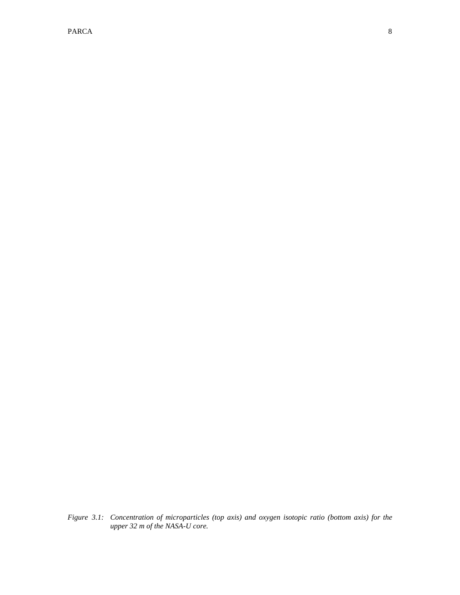PARCA 2008 and 2008 and 2008 and 2008 and 2008 and 2008 and 2008 and 2008 and 2008 and 2008 and 2008 and 2008 and 2008 and 2008 and 2008 and 2008 and 2008 and 2008 and 2008 and 2008 and 2008 and 2008 and 2008 and 2008 and

*Figure 3.1: Concentration of microparticles (top axis) and oxygen isotopic ratio (bottom axis) for the upper 32 m of the NASA-U core.*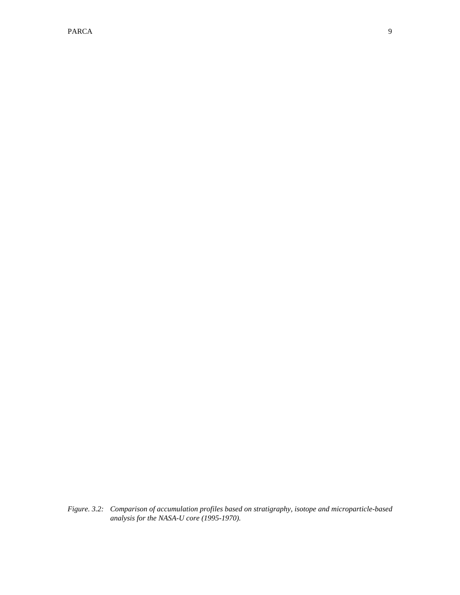PARCA 2008 and 2008 and 2008 and 2008 and 2008 and 2008 and 2008 and 2008 and 2008 and 2008 and 2008 and 2008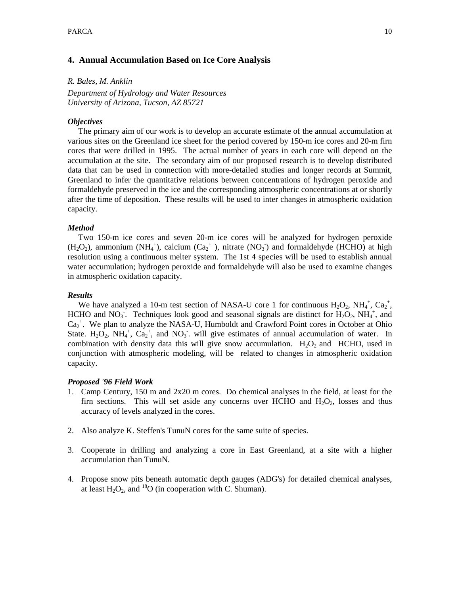## **4. Annual Accumulation Based on Ice Core Analysis**

*R. Bales, M. Anklin* 

*Department of Hydrology and Water Resources University of Arizona, Tucson, AZ 85721* 

## *Objectives*

 The primary aim of our work is to develop an accurate estimate of the annual accumulation at various sites on the Greenland ice sheet for the period covered by 150-m ice cores and 20-m firn cores that were drilled in 1995. The actual number of years in each core will depend on the accumulation at the site. The secondary aim of our proposed research is to develop distributed data that can be used in connection with more-detailed studies and longer records at Summit, Greenland to infer the quantitative relations between concentrations of hydrogen peroxide and formaldehyde preserved in the ice and the corresponding atmospheric concentrations at or shortly after the time of deposition. These results will be used to inter changes in atmospheric oxidation capacity.

## *Method*

 Two 150-m ice cores and seven 20-m ice cores will be analyzed for hydrogen peroxide  $(H_2O_2)$ , ammonium (NH<sub>4</sub><sup>+</sup>), calcium (Ca<sub>2</sub><sup>+</sup>), nitrate (NO<sub>3</sub><sup>-</sup>) and formaldehyde (HCHO) at high resolution using a continuous melter system. The 1st 4 species will be used to establish annual water accumulation; hydrogen peroxide and formaldehyde will also be used to examine changes in atmospheric oxidation capacity.

## *Results*

We have analyzed a 10-m test section of NASA-U core 1 for continuous  $H_2O_2$ ,  $NH_4^+$ ,  $Ca_2^+$ , HCHO and NO<sub>3</sub>. Techniques look good and seasonal signals are distinct for  $H_2O_2$ , NH<sub>4</sub><sup>+</sup>, and  $Ca<sub>2</sub><sup>+</sup>$ . We plan to analyze the NASA-U, Humboldt and Crawford Point cores in October at Ohio State.  $H_2O_2$ ,  $NH_4^+$ ,  $Ca_2^+$ , and  $NO_3^-$ , will give estimates of annual accumulation of water. In combination with density data this will give snow accumulation.  $H_2O_2$  and HCHO, used in conjunction with atmospheric modeling, will be related to changes in atmospheric oxidation capacity.

## *Proposed '96 Field Work*

- 1. Camp Century, 150 m and 2x20 m cores. Do chemical analyses in the field, at least for the firn sections. This will set aside any concerns over HCHO and  $H_2O_2$ , losses and thus accuracy of levels analyzed in the cores.
- 2. Also analyze K. Steffen's TunuN cores for the same suite of species.
- 3. Cooperate in drilling and analyzing a core in East Greenland, at a site with a higher accumulation than TunuN.
- 4. Propose snow pits beneath automatic depth gauges (ADG's) for detailed chemical analyses, at least  $H_2O_2$ , and <sup>18</sup>O (in cooperation with C. Shuman).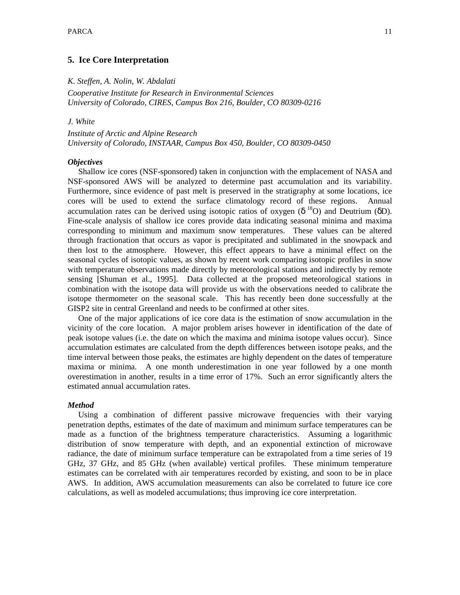## **5. Ice Core Interpretation**

#### *K. Steffen, A. Nolin, W. Abdalati*

*Cooperative Institute for Research in Environmental Sciences University of Colorado, CIRES, Campus Box 216, Boulder, CO 80309-0216* 

## *J. White*

*Institute of Arctic and Alpine Research University of Colorado, INSTAAR, Campus Box 450, Boulder, CO 80309-0450* 

## *Objectives*

 Shallow ice cores (NSF-sponsored) taken in conjunction with the emplacement of NASA and NSF-sponsored AWS will be analyzed to determine past accumulation and its variability. Furthermore, since evidence of past melt is preserved in the stratigraphy at some locations, ice cores will be used to extend the surface climatology record of these regions. Annual accumulation rates can be derived using isotopic ratios of oxygen (δ<sup>18</sup>O) and Deutrium (δD). Fine-scale analysis of shallow ice cores provide data indicating seasonal minima and maxima corresponding to minimum and maximum snow temperatures. These values can be altered through fractionation that occurs as vapor is precipitated and sublimated in the snowpack and then lost to the atmosphere. However, this effect appears to have a minimal effect on the seasonal cycles of isotopic values, as shown by recent work comparing isotopic profiles in snow with temperature observations made directly by meteorological stations and indirectly by remote sensing [Shuman et al., 1995]. Data collected at the proposed meteorological stations in combination with the isotope data will provide us with the observations needed to calibrate the isotope thermometer on the seasonal scale. This has recently been done successfully at the GISP2 site in central Greenland and needs to be confirmed at other sites.

 One of the major applications of ice core data is the estimation of snow accumulation in the vicinity of the core location. A major problem arises however in identification of the date of peak isotope values (i.e. the date on which the maxima and minima isotope values occur). Since accumulation estimates are calculated from the depth differences between isotope peaks, and the time interval between those peaks, the estimates are highly dependent on the dates of temperature maxima or minima. A one month underestimation in one year followed by a one month overestimation in another, results in a time error of 17%. Such an error significantly alters the estimated annual accumulation rates.

## *Method*

 Using a combination of different passive microwave frequencies with their varying penetration depths, estimates of the date of maximum and minimum surface temperatures can be made as a function of the brightness temperature characteristics. Assuming a logarithmic distribution of snow temperature with depth, and an exponential extinction of microwave radiance, the date of minimum surface temperature can be extrapolated from a time series of 19 GHz, 37 GHz, and 85 GHz (when available) vertical profiles. These minimum temperature estimates can be correlated with air temperatures recorded by existing, and soon to be in place AWS. In addition, AWS accumulation measurements can also be correlated to future ice core calculations, as well as modeled accumulations; thus improving ice core interpretation.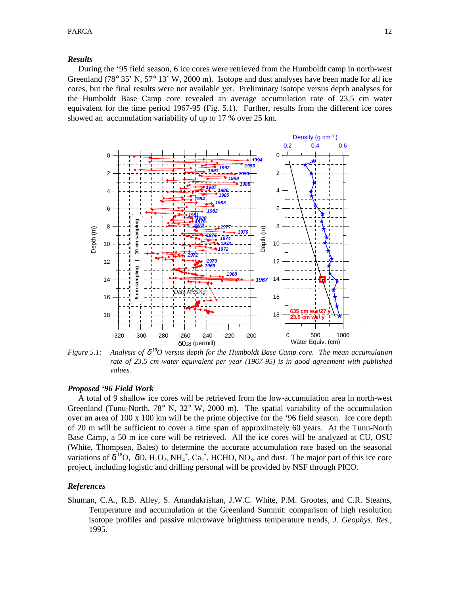## *Results*

 During the '95 field season, 6 ice cores were retrieved from the Humboldt camp in north-west Greenland (78 $^{\circ}$  35' N, 57 $^{\circ}$  13' W, 2000 m). Isotope and dust analyses have been made for all ice cores, but the final results were not available yet. Preliminary isotope versus depth analyses for the Humboldt Base Camp core revealed an average accumulation rate of 23.5 cm water equivalent for the time period 1967-95 (Fig. 5.1). Further, results from the different ice cores showed an accumulation variability of up to 17 % over 25 km.



*Figure* 5.1: Analysis of  $\delta^{18}O$  versus depth for the Humboldt Base Camp core. The mean accumulation *rate of 23.5 cm water equivalent per year (1967-95) is in good agreement with published values.* 

## *Proposed '96 Field Work*

 A total of 9 shallow ice cores will be retrieved from the low-accumulation area in north-west Greenland (Tunu-North, 78° N, 32° W, 2000 m). The spatial variability of the accumulation over an area of 100 x 100 km will be the prime objective for the '96 field season. Ice core depth of 20 m will be sufficient to cover a time span of approximately 60 years. At the Tunu-North Base Camp, a 50 m ice core will be retrieved. All the ice cores will be analyzed at CU, OSU (White, Thompsen, Bales) to determine the accurate accumulation rate based on the seasonal variations of  $\delta^{18}O$ ,  $\delta D$ ,  $H_2O_2$ ,  $NH_4^+$ ,  $Ca_2^+$ , HCHO, NO<sub>3</sub>, and dust. The major part of this ice core project, including logistic and drilling personal will be provided by NSF through PICO.

#### *References*

Shuman, C.A., R.B. Alley, S. Anandakrishan, J.W.C. White, P.M. Grootes, and C.R. Stearns, Temperature and accumulation at the Greenland Summit: comparison of high resolution isotope profiles and passive microwave brightness temperature trends, *J. Geophys. Res.,* 1995.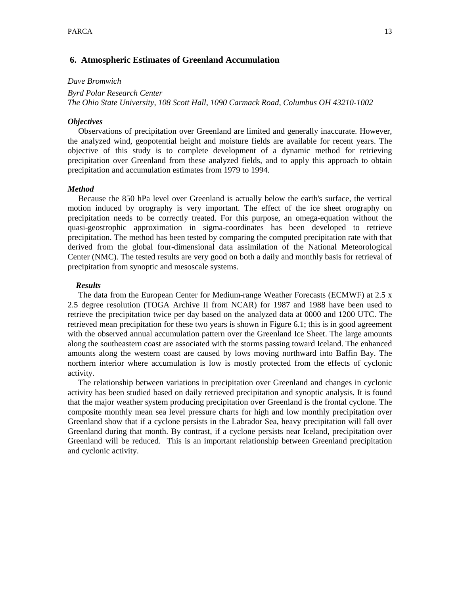## **6. Atmospheric Estimates of Greenland Accumulation**

#### *Dave Bromwich*

*Byrd Polar Research Center The Ohio State University, 108 Scott Hall, 1090 Carmack Road, Columbus OH 43210-1002* 

## *Objectives*

 Observations of precipitation over Greenland are limited and generally inaccurate. However, the analyzed wind, geopotential height and moisture fields are available for recent years. The objective of this study is to complete development of a dynamic method for retrieving precipitation over Greenland from these analyzed fields, and to apply this approach to obtain precipitation and accumulation estimates from 1979 to 1994.

#### *Method*

 Because the 850 hPa level over Greenland is actually below the earth's surface, the vertical motion induced by orography is very important. The effect of the ice sheet orography on precipitation needs to be correctly treated. For this purpose, an omega-equation without the quasi-geostrophic approximation in sigma-coordinates has been developed to retrieve precipitation. The method has been tested by comparing the computed precipitation rate with that derived from the global four-dimensional data assimilation of the National Meteorological Center (NMC). The tested results are very good on both a daily and monthly basis for retrieval of precipitation from synoptic and mesoscale systems.

#### *Results*

 The data from the European Center for Medium-range Weather Forecasts (ECMWF) at 2.5 x 2.5 degree resolution (TOGA Archive II from NCAR) for 1987 and 1988 have been used to retrieve the precipitation twice per day based on the analyzed data at 0000 and 1200 UTC. The retrieved mean precipitation for these two years is shown in Figure 6.1; this is in good agreement with the observed annual accumulation pattern over the Greenland Ice Sheet. The large amounts along the southeastern coast are associated with the storms passing toward Iceland. The enhanced amounts along the western coast are caused by lows moving northward into Baffin Bay. The northern interior where accumulation is low is mostly protected from the effects of cyclonic activity.

 The relationship between variations in precipitation over Greenland and changes in cyclonic activity has been studied based on daily retrieved precipitation and synoptic analysis. It is found that the major weather system producing precipitation over Greenland is the frontal cyclone. The composite monthly mean sea level pressure charts for high and low monthly precipitation over Greenland show that if a cyclone persists in the Labrador Sea, heavy precipitation will fall over Greenland during that month. By contrast, if a cyclone persists near Iceland, precipitation over Greenland will be reduced. This is an important relationship between Greenland precipitation and cyclonic activity.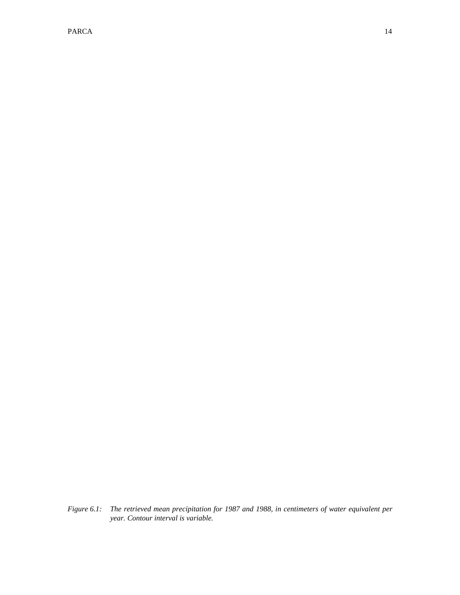PARCA 14

*Figure 6.1: The retrieved mean precipitation for 1987 and 1988, in centimeters of water equivalent per year. Contour interval is variable.*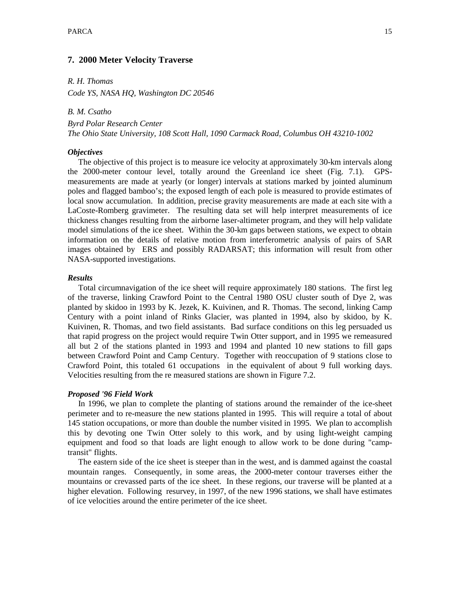## **7. 2000 Meter Velocity Traverse**

*R. H. Thomas* 

*Code YS, NASA HQ, Washington DC 20546* 

*B. M. Csatho* 

*Byrd Polar Research Center The Ohio State University, 108 Scott Hall, 1090 Carmack Road, Columbus OH 43210-1002* 

## *Objectives*

 The objective of this project is to measure ice velocity at approximately 30-km intervals along the 2000-meter contour level, totally around the Greenland ice sheet (Fig. 7.1). GPSmeasurements are made at yearly (or longer) intervals at stations marked by jointed aluminum poles and flagged bamboo's; the exposed length of each pole is measured to provide estimates of local snow accumulation. In addition, precise gravity measurements are made at each site with a LaCoste-Romberg gravimeter. The resulting data set will help interpret measurements of ice thickness changes resulting from the airborne laser-altimeter program, and they will help validate model simulations of the ice sheet. Within the 30-km gaps between stations, we expect to obtain information on the details of relative motion from interferometric analysis of pairs of SAR images obtained by ERS and possibly RADARSAT; this information will result from other NASA-supported investigations.

## *Results*

 Total circumnavigation of the ice sheet will require approximately 180 stations. The first leg of the traverse, linking Crawford Point to the Central 1980 OSU cluster south of Dye 2, was planted by skidoo in 1993 by K. Jezek, K. Kuivinen, and R. Thomas. The second, linking Camp Century with a point inland of Rinks Glacier, was planted in 1994, also by skidoo, by K. Kuivinen, R. Thomas, and two field assistants. Bad surface conditions on this leg persuaded us that rapid progress on the project would require Twin Otter support, and in 1995 we remeasured all but 2 of the stations planted in 1993 and 1994 and planted 10 new stations to fill gaps between Crawford Point and Camp Century. Together with reoccupation of 9 stations close to Crawford Point, this totaled 61 occupations in the equivalent of about 9 full working days. Velocities resulting from the re measured stations are shown in Figure 7.2.

## *Proposed '96 Field Work*

 In 1996, we plan to complete the planting of stations around the remainder of the ice-sheet perimeter and to re-measure the new stations planted in 1995. This will require a total of about 145 station occupations, or more than double the number visited in 1995. We plan to accomplish this by devoting one Twin Otter solely to this work, and by using light-weight camping equipment and food so that loads are light enough to allow work to be done during "camptransit" flights.

 The eastern side of the ice sheet is steeper than in the west, and is dammed against the coastal mountain ranges. Consequently, in some areas, the 2000-meter contour traverses either the mountains or crevassed parts of the ice sheet. In these regions, our traverse will be planted at a higher elevation. Following resurvey, in 1997, of the new 1996 stations, we shall have estimates of ice velocities around the entire perimeter of the ice sheet.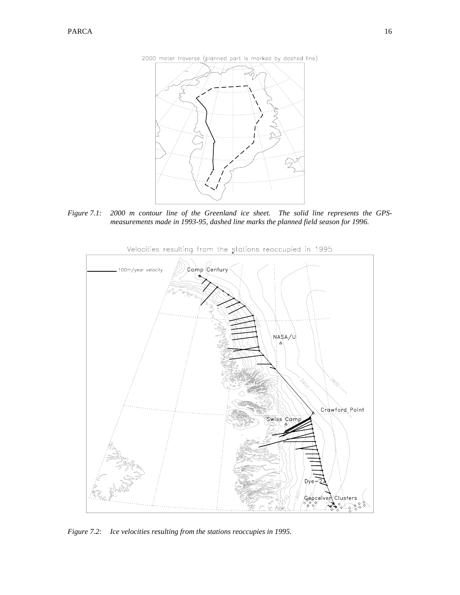



*Figure 7.1: 2000 m contour line of the Greenland ice sheet. The solid line represents the GPSmeasurements made in 1993-95, dashed line marks the planned field season for 1996.* 



Velocities resulting from the stations reoccupied in 1995

*Figure 7.2: Ice velocities resulting from the stations reoccupies in 1995.*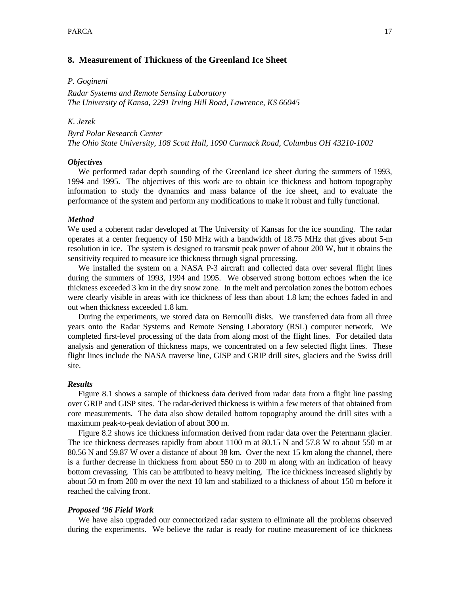## **8. Measurement of Thickness of the Greenland Ice Sheet**

## *P. Gogineni*

*Radar Systems and Remote Sensing Laboratory The University of Kansa, 2291 Irving Hill Road, Lawrence, KS 66045* 

## *K. Jezek*

*Byrd Polar Research Center The Ohio State University, 108 Scott Hall, 1090 Carmack Road, Columbus OH 43210-1002* 

#### *Objectives*

 We performed radar depth sounding of the Greenland ice sheet during the summers of 1993, 1994 and 1995. The objectives of this work are to obtain ice thickness and bottom topography information to study the dynamics and mass balance of the ice sheet, and to evaluate the performance of the system and perform any modifications to make it robust and fully functional.

#### *Method*

We used a coherent radar developed at The University of Kansas for the ice sounding. The radar operates at a center frequency of 150 MHz with a bandwidth of 18.75 MHz that gives about 5-m resolution in ice. The system is designed to transmit peak power of about 200 W, but it obtains the sensitivity required to measure ice thickness through signal processing.

 We installed the system on a NASA P-3 aircraft and collected data over several flight lines during the summers of 1993, 1994 and 1995. We observed strong bottom echoes when the ice thickness exceeded 3 km in the dry snow zone. In the melt and percolation zones the bottom echoes were clearly visible in areas with ice thickness of less than about 1.8 km; the echoes faded in and out when thickness exceeded 1.8 km.

 During the experiments, we stored data on Bernoulli disks. We transferred data from all three years onto the Radar Systems and Remote Sensing Laboratory (RSL) computer network. We completed first-level processing of the data from along most of the flight lines. For detailed data analysis and generation of thickness maps, we concentrated on a few selected flight lines. These flight lines include the NASA traverse line, GISP and GRIP drill sites, glaciers and the Swiss drill site.

## *Results*

 Figure 8.1 shows a sample of thickness data derived from radar data from a flight line passing over GRIP and GISP sites. The radar-derived thickness is within a few meters of that obtained from core measurements. The data also show detailed bottom topography around the drill sites with a maximum peak-to-peak deviation of about 300 m.

 Figure 8.2 shows ice thickness information derived from radar data over the Petermann glacier. The ice thickness decreases rapidly from about 1100 m at 80.15 N and 57.8 W to about 550 m at 80.56 N and 59.87 W over a distance of about 38 km. Over the next 15 km along the channel, there is a further decrease in thickness from about 550 m to 200 m along with an indication of heavy bottom crevassing. This can be attributed to heavy melting. The ice thickness increased slightly by about 50 m from 200 m over the next 10 km and stabilized to a thickness of about 150 m before it reached the calving front.

## *Proposed '96 Field Work*

 We have also upgraded our connectorized radar system to eliminate all the problems observed during the experiments. We believe the radar is ready for routine measurement of ice thickness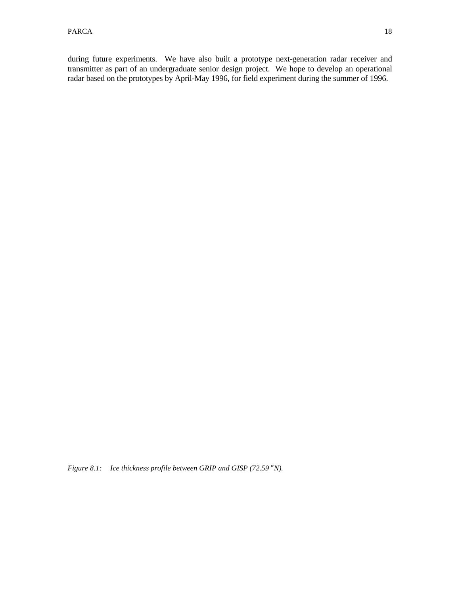during future experiments. We have also built a prototype next-generation radar receiver and transmitter as part of an undergraduate senior design project. We hope to develop an operational radar based on the prototypes by April-May 1996, for field experiment during the summer of 1996.

*Figure 8.1: Ice thickness profile between GRIP and GISP (72.59*° *N).*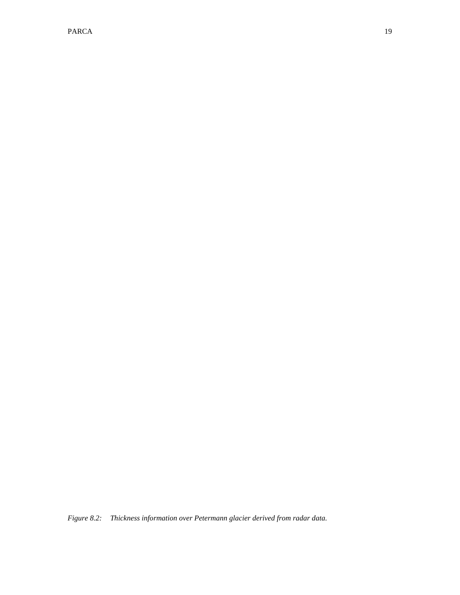PARCA 19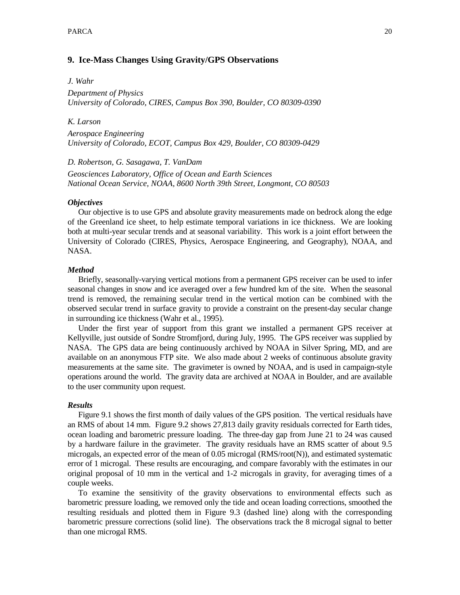## **9. Ice-Mass Changes Using Gravity/GPS Observations**

#### *J. Wahr*

*Department of Physics University of Colorado, CIRES, Campus Box 390, Boulder, CO 80309-0390* 

## *K. Larson*

*Aerospace Engineering University of Colorado, ECOT, Campus Box 429, Boulder, CO 80309-0429* 

## *D. Robertson, G. Sasagawa, T. VanDam*

*Geosciences Laboratory, Office of Ocean and Earth Sciences National Ocean Service, NOAA, 8600 North 39th Street, Longmont, CO 80503* 

## *Objectives*

 Our objective is to use GPS and absolute gravity measurements made on bedrock along the edge of the Greenland ice sheet, to help estimate temporal variations in ice thickness. We are looking both at multi-year secular trends and at seasonal variability. This work is a joint effort between the University of Colorado (CIRES, Physics, Aerospace Engineering, and Geography), NOAA, and NASA.

#### *Method*

 Briefly, seasonally-varying vertical motions from a permanent GPS receiver can be used to infer seasonal changes in snow and ice averaged over a few hundred km of the site. When the seasonal trend is removed, the remaining secular trend in the vertical motion can be combined with the observed secular trend in surface gravity to provide a constraint on the present-day secular change in surrounding ice thickness (Wahr et al., 1995).

 Under the first year of support from this grant we installed a permanent GPS receiver at Kellyville, just outside of Sondre Stromfjord, during July, 1995. The GPS receiver was supplied by NASA. The GPS data are being continuously archived by NOAA in Silver Spring, MD, and are available on an anonymous FTP site. We also made about 2 weeks of continuous absolute gravity measurements at the same site. The gravimeter is owned by NOAA, and is used in campaign-style operations around the world. The gravity data are archived at NOAA in Boulder, and are available to the user community upon request.

#### *Results*

 Figure 9.1 shows the first month of daily values of the GPS position. The vertical residuals have an RMS of about 14 mm. Figure 9.2 shows 27,813 daily gravity residuals corrected for Earth tides, ocean loading and barometric pressure loading. The three-day gap from June 21 to 24 was caused by a hardware failure in the gravimeter. The gravity residuals have an RMS scatter of about 9.5 microgals, an expected error of the mean of 0.05 microgal (RMS/root(N)), and estimated systematic error of 1 microgal. These results are encouraging, and compare favorably with the estimates in our original proposal of 10 mm in the vertical and 1-2 microgals in gravity, for averaging times of a couple weeks.

 To examine the sensitivity of the gravity observations to environmental effects such as barometric pressure loading, we removed only the tide and ocean loading corrections, smoothed the resulting residuals and plotted them in Figure 9.3 (dashed line) along with the corresponding barometric pressure corrections (solid line). The observations track the 8 microgal signal to better than one microgal RMS.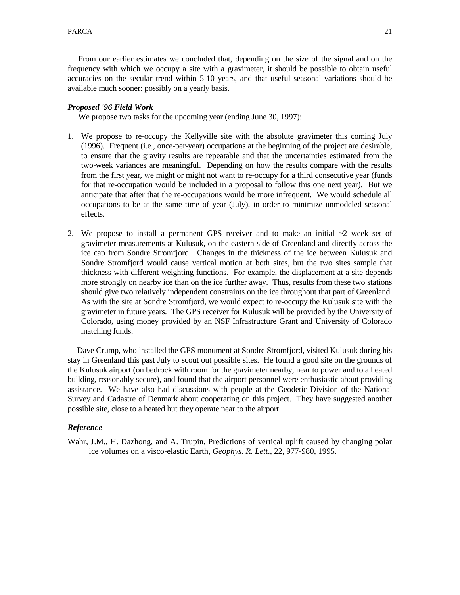From our earlier estimates we concluded that, depending on the size of the signal and on the frequency with which we occupy a site with a gravimeter, it should be possible to obtain useful accuracies on the secular trend within 5-10 years, and that useful seasonal variations should be available much sooner: possibly on a yearly basis.

## *Proposed '96 Field Work*

We propose two tasks for the upcoming year (ending June 30, 1997):

- 1. We propose to re-occupy the Kellyville site with the absolute gravimeter this coming July (1996). Frequent (i.e., once-per-year) occupations at the beginning of the project are desirable, to ensure that the gravity results are repeatable and that the uncertainties estimated from the two-week variances are meaningful. Depending on how the results compare with the results from the first year, we might or might not want to re-occupy for a third consecutive year (funds for that re-occupation would be included in a proposal to follow this one next year). But we anticipate that after that the re-occupations would be more infrequent. We would schedule all occupations to be at the same time of year (July), in order to minimize unmodeled seasonal effects.
- 2. We propose to install a permanent GPS receiver and to make an initial  $\sim$ 2 week set of gravimeter measurements at Kulusuk, on the eastern side of Greenland and directly across the ice cap from Sondre Stromfjord. Changes in the thickness of the ice between Kulusuk and Sondre Stromfjord would cause vertical motion at both sites, but the two sites sample that thickness with different weighting functions. For example, the displacement at a site depends more strongly on nearby ice than on the ice further away. Thus, results from these two stations should give two relatively independent constraints on the ice throughout that part of Greenland. As with the site at Sondre Stromfjord, we would expect to re-occupy the Kulusuk site with the gravimeter in future years. The GPS receiver for Kulusuk will be provided by the University of Colorado, using money provided by an NSF Infrastructure Grant and University of Colorado matching funds.

 Dave Crump, who installed the GPS monument at Sondre Stromfjord, visited Kulusuk during his stay in Greenland this past July to scout out possible sites. He found a good site on the grounds of the Kulusuk airport (on bedrock with room for the gravimeter nearby, near to power and to a heated building, reasonably secure), and found that the airport personnel were enthusiastic about providing assistance. We have also had discussions with people at the Geodetic Division of the National Survey and Cadastre of Denmark about cooperating on this project. They have suggested another possible site, close to a heated hut they operate near to the airport.

## *Reference*

Wahr, J.M., H. Dazhong, and A. Trupin, Predictions of vertical uplift caused by changing polar ice volumes on a visco-elastic Earth, *Geophys. R. Lett*., 22, 977-980, 1995.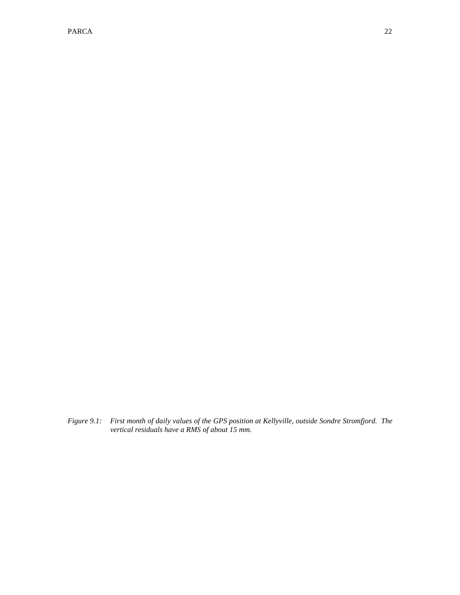#### PARCA 22

*Figure 9.1: First month of daily values of the GPS position at Kellyville, outside Sondre Stromfjord. The vertical residuals have a RMS of about 15 mm.*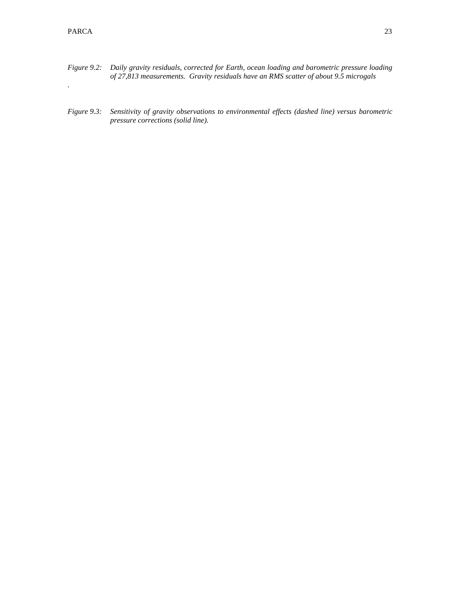*.* 

- *Figure 9.2: Daily gravity residuals, corrected for Earth, ocean loading and barometric pressure loading of 27,813 measurements. Gravity residuals have an RMS scatter of about 9.5 microgals*
- *Figure 9.3: Sensitivity of gravity observations to environmental effects (dashed line) versus barometric pressure corrections (solid line).*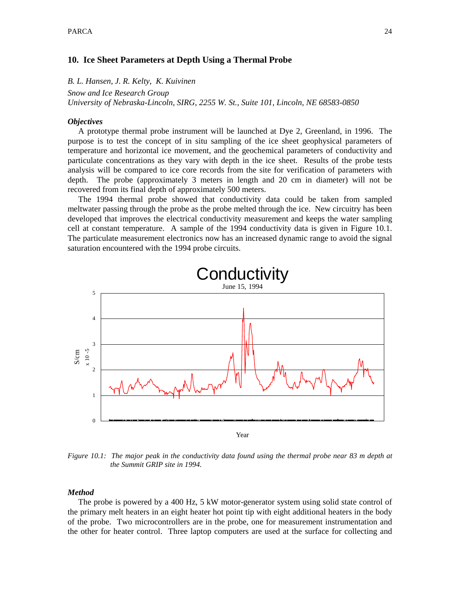## **10. Ice Sheet Parameters at Depth Using a Thermal Probe**

*B. L. Hansen, J. R. Kelty, K. Kuivinen* 

*Snow and Ice Research Group University of Nebraska-Lincoln, SIRG, 2255 W. St., Suite 101, Lincoln, NE 68583-0850* 

## *Objectives*

 A prototype thermal probe instrument will be launched at Dye 2, Greenland, in 1996. The purpose is to test the concept of in situ sampling of the ice sheet geophysical parameters of temperature and horizontal ice movement, and the geochemical parameters of conductivity and particulate concentrations as they vary with depth in the ice sheet. Results of the probe tests analysis will be compared to ice core records from the site for verification of parameters with depth. The probe (approximately 3 meters in length and 20 cm in diameter) will not be recovered from its final depth of approximately 500 meters.

 The 1994 thermal probe showed that conductivity data could be taken from sampled meltwater passing through the probe as the probe melted through the ice. New circuitry has been developed that improves the electrical conductivity measurement and keeps the water sampling cell at constant temperature. A sample of the 1994 conductivity data is given in Figure 10.1. The particulate measurement electronics now has an increased dynamic range to avoid the signal saturation encountered with the 1994 probe circuits.



*Figure 10.1: The major peak in the conductivity data found using the thermal probe near 83 m depth at the Summit GRIP site in 1994.* 

## *Method*

 The probe is powered by a 400 Hz, 5 kW motor-generator system using solid state control of the primary melt heaters in an eight heater hot point tip with eight additional heaters in the body of the probe. Two microcontrollers are in the probe, one for measurement instrumentation and the other for heater control. Three laptop computers are used at the surface for collecting and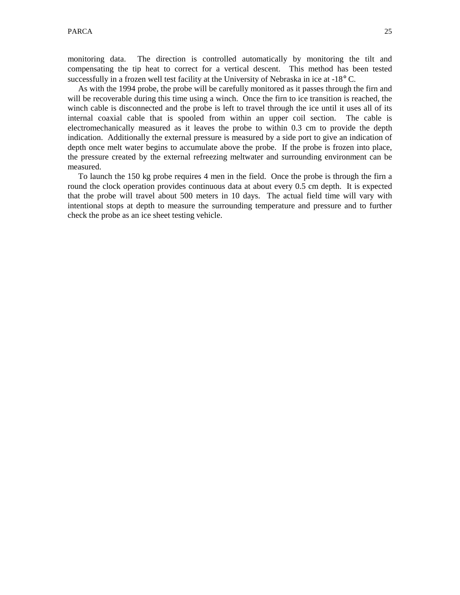monitoring data. The direction is controlled automatically by monitoring the tilt and compensating the tip heat to correct for a vertical descent. This method has been tested successfully in a frozen well test facility at the University of Nebraska in ice at  $-18^{\circ}$  C.

 As with the 1994 probe, the probe will be carefully monitored as it passes through the firn and will be recoverable during this time using a winch. Once the firn to ice transition is reached, the winch cable is disconnected and the probe is left to travel through the ice until it uses all of its internal coaxial cable that is spooled from within an upper coil section. The cable is electromechanically measured as it leaves the probe to within 0.3 cm to provide the depth indication. Additionally the external pressure is measured by a side port to give an indication of depth once melt water begins to accumulate above the probe. If the probe is frozen into place, the pressure created by the external refreezing meltwater and surrounding environment can be measured.

 To launch the 150 kg probe requires 4 men in the field. Once the probe is through the firn a round the clock operation provides continuous data at about every 0.5 cm depth. It is expected that the probe will travel about 500 meters in 10 days. The actual field time will vary with intentional stops at depth to measure the surrounding temperature and pressure and to further check the probe as an ice sheet testing vehicle.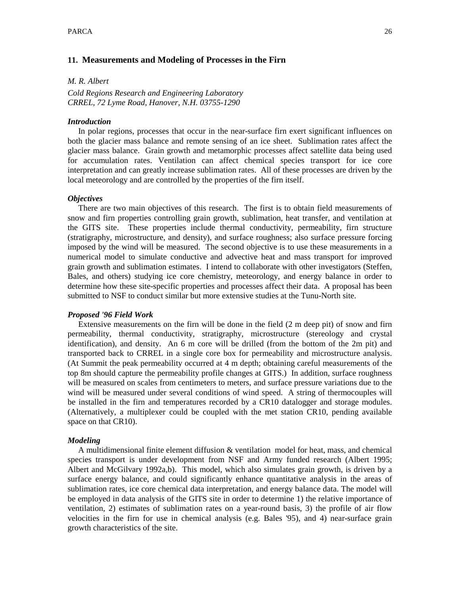## **11. Measurements and Modeling of Processes in the Firn**

*M. R. Albert* 

*Cold Regions Research and Engineering Laboratory CRREL, 72 Lyme Road, Hanover, N.H. 03755-1290* 

## *Introduction*

 In polar regions, processes that occur in the near-surface firn exert significant influences on both the glacier mass balance and remote sensing of an ice sheet. Sublimation rates affect the glacier mass balance. Grain growth and metamorphic processes affect satellite data being used for accumulation rates. Ventilation can affect chemical species transport for ice core interpretation and can greatly increase sublimation rates. All of these processes are driven by the local meteorology and are controlled by the properties of the firn itself.

## *Objectives*

 There are two main objectives of this research. The first is to obtain field measurements of snow and firn properties controlling grain growth, sublimation, heat transfer, and ventilation at the GITS site. These properties include thermal conductivity, permeability, firn structure (stratigraphy, microstructure, and density), and surface roughness; also surface pressure forcing imposed by the wind will be measured. The second objective is to use these measurements in a numerical model to simulate conductive and advective heat and mass transport for improved grain growth and sublimation estimates. I intend to collaborate with other investigators (Steffen, Bales, and others) studying ice core chemistry, meteorology, and energy balance in order to determine how these site-specific properties and processes affect their data. A proposal has been submitted to NSF to conduct similar but more extensive studies at the Tunu-North site.

## *Proposed '96 Field Work*

 Extensive measurements on the firn will be done in the field (2 m deep pit) of snow and firn permeability, thermal conductivity, stratigraphy, microstructure (stereology and crystal identification), and density. An 6 m core will be drilled (from the bottom of the 2m pit) and transported back to CRREL in a single core box for permeability and microstructure analysis. (At Summit the peak permeability occurred at 4 m depth; obtaining careful measurements of the top 8m should capture the permeability profile changes at GITS.) In addition, surface roughness will be measured on scales from centimeters to meters, and surface pressure variations due to the wind will be measured under several conditions of wind speed. A string of thermocouples will be installed in the firn and temperatures recorded by a CR10 datalogger and storage modules. (Alternatively, a multiplexer could be coupled with the met station CR10, pending available space on that CR10).

#### *Modeling*

 A multidimensional finite element diffusion & ventilation model for heat, mass, and chemical species transport is under development from NSF and Army funded research (Albert 1995; Albert and McGilvary 1992a,b). This model, which also simulates grain growth, is driven by a surface energy balance, and could significantly enhance quantitative analysis in the areas of sublimation rates, ice core chemical data interpretation, and energy balance data. The model will be employed in data analysis of the GITS site in order to determine 1) the relative importance of ventilation, 2) estimates of sublimation rates on a year-round basis, 3) the profile of air flow velocities in the firn for use in chemical analysis (e.g. Bales '95), and 4) near-surface grain growth characteristics of the site.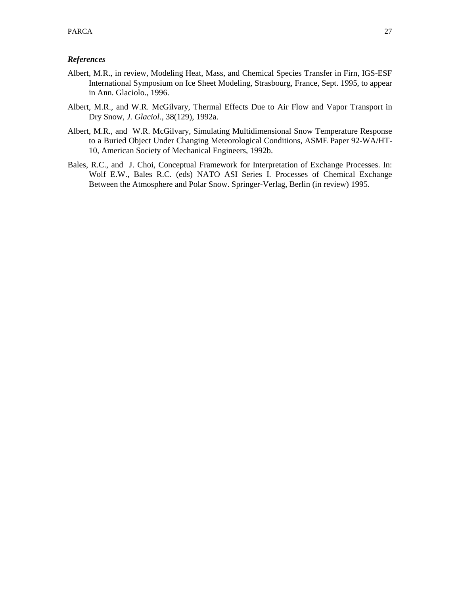## *References*

- Albert, M.R., in review, Modeling Heat, Mass, and Chemical Species Transfer in Firn, IGS-ESF International Symposium on Ice Sheet Modeling, Strasbourg, France, Sept. 1995, to appear in Ann. Glaciolo., 1996.
- Albert, M.R., and W.R. McGilvary, Thermal Effects Due to Air Flow and Vapor Transport in Dry Snow, *J. Glaciol*., 38(129), 1992a.
- Albert, M.R., and W.R. McGilvary, Simulating Multidimensional Snow Temperature Response to a Buried Object Under Changing Meteorological Conditions, ASME Paper 92-WA/HT-10, American Society of Mechanical Engineers, 1992b.
- Bales, R.C., and J. Choi, Conceptual Framework for Interpretation of Exchange Processes. In: Wolf E.W., Bales R.C. (eds) NATO ASI Series I. Processes of Chemical Exchange Between the Atmosphere and Polar Snow. Springer-Verlag, Berlin (in review) 1995.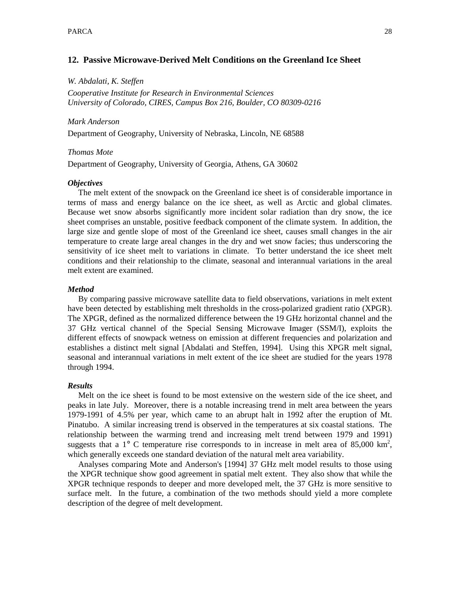## **12. Passive Microwave-Derived Melt Conditions on the Greenland Ice Sheet**

*W. Abdalati, K. Steffen* 

*Cooperative Institute for Research in Environmental Sciences University of Colorado, CIRES, Campus Box 216, Boulder, CO 80309-0216* 

## *Mark Anderson*

Department of Geography, University of Nebraska, Lincoln, NE 68588

## *Thomas Mote*

Department of Geography, University of Georgia, Athens, GA 30602

## *Objectives*

 The melt extent of the snowpack on the Greenland ice sheet is of considerable importance in terms of mass and energy balance on the ice sheet, as well as Arctic and global climates. Because wet snow absorbs significantly more incident solar radiation than dry snow, the ice sheet comprises an unstable, positive feedback component of the climate system. In addition, the large size and gentle slope of most of the Greenland ice sheet, causes small changes in the air temperature to create large areal changes in the dry and wet snow facies; thus underscoring the sensitivity of ice sheet melt to variations in climate. To better understand the ice sheet melt conditions and their relationship to the climate, seasonal and interannual variations in the areal melt extent are examined.

## *Method*

 By comparing passive microwave satellite data to field observations, variations in melt extent have been detected by establishing melt thresholds in the cross-polarized gradient ratio (XPGR). The XPGR, defined as the normalized difference between the 19 GHz horizontal channel and the 37 GHz vertical channel of the Special Sensing Microwave Imager (SSM/I), exploits the different effects of snowpack wetness on emission at different frequencies and polarization and establishes a distinct melt signal [Abdalati and Steffen, 1994]. Using this XPGR melt signal, seasonal and interannual variations in melt extent of the ice sheet are studied for the years 1978 through 1994.

## *Results*

 Melt on the ice sheet is found to be most extensive on the western side of the ice sheet, and peaks in late July. Moreover, there is a notable increasing trend in melt area between the years 1979-1991 of 4.5% per year, which came to an abrupt halt in 1992 after the eruption of Mt. Pinatubo. A similar increasing trend is observed in the temperatures at six coastal stations. The relationship between the warming trend and increasing melt trend between 1979 and 1991) suggests that a  $1^{\circ}$  C temperature rise corresponds to in increase in melt area of 85,000 km<sup>2</sup>, which generally exceeds one standard deviation of the natural melt area variability.

 Analyses comparing Mote and Anderson's [1994] 37 GHz melt model results to those using the XPGR technique show good agreement in spatial melt extent. They also show that while the XPGR technique responds to deeper and more developed melt, the 37 GHz is more sensitive to surface melt. In the future, a combination of the two methods should yield a more complete description of the degree of melt development.